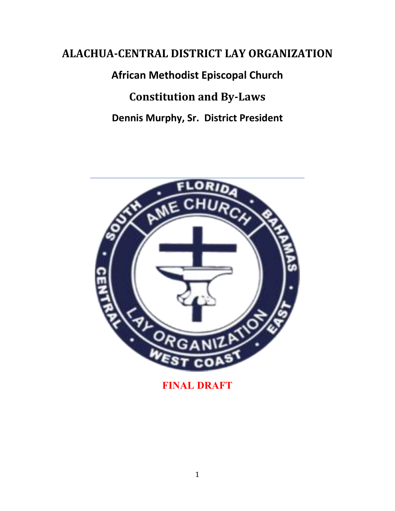# **ALACHUA-CENTRAL DISTRICT LAY ORGANIZATION**

**African Methodist Episcopal Church**

**Constitution and By-Laws**

**Dennis Murphy, Sr. District President**



**FINAL DRAFT**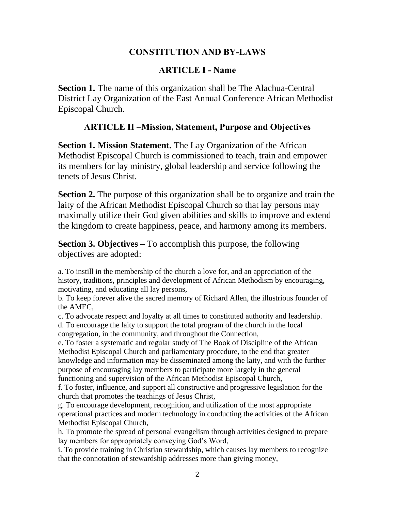#### **CONSTITUTION AND BY-LAWS**

#### **ARTICLE I - Name**

**Section 1.** The name of this organization shall be The Alachua-Central District Lay Organization of the East Annual Conference African Methodist Episcopal Church.

#### **ARTICLE II –Mission, Statement, Purpose and Objectives**

**Section 1. Mission Statement.** The Lay Organization of the African Methodist Episcopal Church is commissioned to teach, train and empower its members for lay ministry, global leadership and service following the tenets of Jesus Christ.

**Section 2.** The purpose of this organization shall be to organize and train the laity of the African Methodist Episcopal Church so that lay persons may maximally utilize their God given abilities and skills to improve and extend the kingdom to create happiness, peace, and harmony among its members.

**Section 3. Objectives –** To accomplish this purpose, the following objectives are adopted:

a. To instill in the membership of the church a love for, and an appreciation of the history, traditions, principles and development of African Methodism by encouraging, motivating, and educating all lay persons,

b. To keep forever alive the sacred memory of Richard Allen, the illustrious founder of the AMEC,

c. To advocate respect and loyalty at all times to constituted authority and leadership. d. To encourage the laity to support the total program of the church in the local congregation, in the community, and throughout the Connection,

e. To foster a systematic and regular study of The Book of Discipline of the African Methodist Episcopal Church and parliamentary procedure, to the end that greater knowledge and information may be disseminated among the laity, and with the further purpose of encouraging lay members to participate more largely in the general functioning and supervision of the African Methodist Episcopal Church,

f. To foster, influence, and support all constructive and progressive legislation for the church that promotes the teachings of Jesus Christ,

g. To encourage development, recognition, and utilization of the most appropriate operational practices and modern technology in conducting the activities of the African Methodist Episcopal Church,

h. To promote the spread of personal evangelism through activities designed to prepare lay members for appropriately conveying God's Word,

i. To provide training in Christian stewardship, which causes lay members to recognize that the connotation of stewardship addresses more than giving money,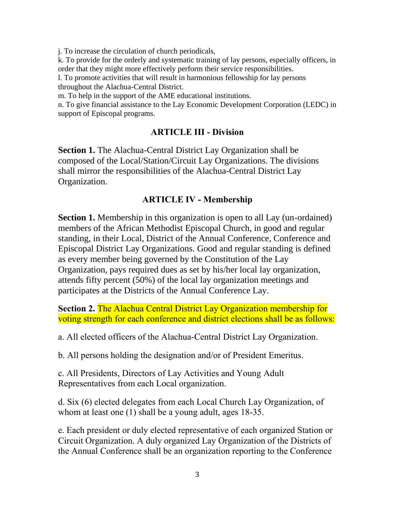j. To increase the circulation of church periodicals,

k. To provide for the orderly and systematic training of lay persons, especially officers, in order that they might more effectively perform their service responsibilities.

l. To promote activities that will result in harmonious fellowship for lay persons throughout the Alachua-Central District.

m. To help in the support of the AME educational institutions.

n. To give financial assistance to the Lay Economic Development Corporation (LEDC) in support of Episcopal programs.

#### **ARTICLE III - Division**

**Section 1.** The Alachua-Central District Lay Organization shall be composed of the Local/Station/Circuit Lay Organizations. The divisions shall mirror the responsibilities of the Alachua-Central District Lay Organization.

#### **ARTICLE IV - Membership**

**Section 1.** Membership in this organization is open to all Lay (un-ordained) members of the African Methodist Episcopal Church, in good and regular standing, in their Local, District of the Annual Conference, Conference and Episcopal District Lay Organizations. Good and regular standing is defined as every member being governed by the Constitution of the Lay Organization, pays required dues as set by his/her local lay organization, attends fifty percent (50%) of the local lay organization meetings and participates at the Districts of the Annual Conference Lay.

**Section 2.** The Alachua Central District Lay Organization membership for voting strength for each conference and district elections shall be as follows:

a. All elected officers of the Alachua-Central District Lay Organization.

b. All persons holding the designation and/or of President Emeritus.

c. All Presidents, Directors of Lay Activities and Young Adult Representatives from each Local organization.

d. Six (6) elected delegates from each Local Church Lay Organization, of whom at least one (1) shall be a young adult, ages 18-35.

e. Each president or duly elected representative of each organized Station or Circuit Organization. A duly organized Lay Organization of the Districts of the Annual Conference shall be an organization reporting to the Conference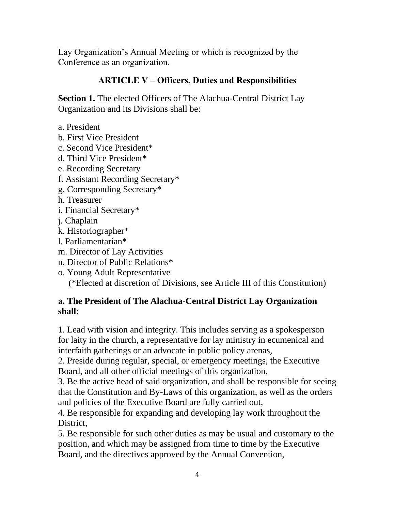Lay Organization's Annual Meeting or which is recognized by the Conference as an organization.

### **ARTICLE V – Officers, Duties and Responsibilities**

**Section 1.** The elected Officers of The Alachua-Central District Lay Organization and its Divisions shall be:

- a. President
- b. First Vice President
- c. Second Vice President\*
- d. Third Vice President\*
- e. Recording Secretary
- f. Assistant Recording Secretary\*
- g. Corresponding Secretary\*
- h. Treasurer
- i. Financial Secretary\*
- j. Chaplain
- k. Historiographer\*
- l. Parliamentarian\*
- m. Director of Lay Activities
- n. Director of Public Relations\*
- o. Young Adult Representative (\*Elected at discretion of Divisions, see Article III of this Constitution)

#### **a. The President of The Alachua-Central District Lay Organization shall:**

1. Lead with vision and integrity. This includes serving as a spokesperson for laity in the church, a representative for lay ministry in ecumenical and interfaith gatherings or an advocate in public policy arenas,

2. Preside during regular, special, or emergency meetings, the Executive Board, and all other official meetings of this organization,

3. Be the active head of said organization, and shall be responsible for seeing that the Constitution and By-Laws of this organization, as well as the orders and policies of the Executive Board are fully carried out,

4. Be responsible for expanding and developing lay work throughout the District.

5. Be responsible for such other duties as may be usual and customary to the position, and which may be assigned from time to time by the Executive Board, and the directives approved by the Annual Convention,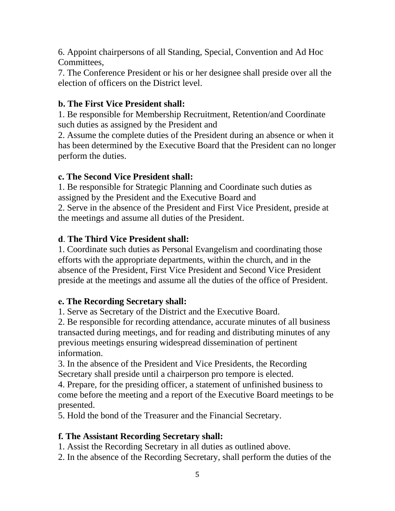6. Appoint chairpersons of all Standing, Special, Convention and Ad Hoc Committees,

7. The Conference President or his or her designee shall preside over all the election of officers on the District level.

### **b. The First Vice President shall:**

1. Be responsible for Membership Recruitment, Retention/and Coordinate such duties as assigned by the President and

2. Assume the complete duties of the President during an absence or when it has been determined by the Executive Board that the President can no longer perform the duties.

#### **c. The Second Vice President shall:**

1. Be responsible for Strategic Planning and Coordinate such duties as assigned by the President and the Executive Board and

2. Serve in the absence of the President and First Vice President, preside at the meetings and assume all duties of the President.

# **d**. **The Third Vice President shall:**

1. Coordinate such duties as Personal Evangelism and coordinating those efforts with the appropriate departments, within the church, and in the absence of the President, First Vice President and Second Vice President preside at the meetings and assume all the duties of the office of President.

#### **e. The Recording Secretary shall:**

1. Serve as Secretary of the District and the Executive Board.

2. Be responsible for recording attendance, accurate minutes of all business transacted during meetings, and for reading and distributing minutes of any previous meetings ensuring widespread dissemination of pertinent information.

3. In the absence of the President and Vice Presidents, the Recording Secretary shall preside until a chairperson pro tempore is elected.

4. Prepare, for the presiding officer, a statement of unfinished business to come before the meeting and a report of the Executive Board meetings to be presented.

5. Hold the bond of the Treasurer and the Financial Secretary.

# **f. The Assistant Recording Secretary shall:**

1. Assist the Recording Secretary in all duties as outlined above.

2. In the absence of the Recording Secretary, shall perform the duties of the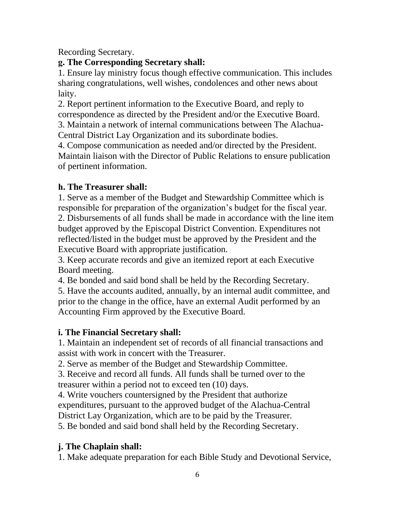Recording Secretary.

# **g. The Corresponding Secretary shall:**

1. Ensure lay ministry focus though effective communication. This includes sharing congratulations, well wishes, condolences and other news about laity.

2. Report pertinent information to the Executive Board, and reply to correspondence as directed by the President and/or the Executive Board. 3. Maintain a network of internal communications between The Alachua-

Central District Lay Organization and its subordinate bodies.

4. Compose communication as needed and/or directed by the President. Maintain liaison with the Director of Public Relations to ensure publication of pertinent information.

# **h. The Treasurer shall:**

1. Serve as a member of the Budget and Stewardship Committee which is responsible for preparation of the organization's budget for the fiscal year. 2. Disbursements of all funds shall be made in accordance with the line item budget approved by the Episcopal District Convention. Expenditures not reflected/listed in the budget must be approved by the President and the Executive Board with appropriate justification.

3. Keep accurate records and give an itemized report at each Executive Board meeting.

4. Be bonded and said bond shall be held by the Recording Secretary.

5. Have the accounts audited, annually, by an internal audit committee, and prior to the change in the office, have an external Audit performed by an Accounting Firm approved by the Executive Board.

# **i. The Financial Secretary shall:**

1. Maintain an independent set of records of all financial transactions and assist with work in concert with the Treasurer.

2. Serve as member of the Budget and Stewardship Committee.

3. Receive and record all funds. All funds shall be turned over to the treasurer within a period not to exceed ten (10) days.

4. Write vouchers countersigned by the President that authorize expenditures, pursuant to the approved budget of the Alachua-Central District Lay Organization, which are to be paid by the Treasurer.

5. Be bonded and said bond shall held by the Recording Secretary.

# **j. The Chaplain shall:**

1. Make adequate preparation for each Bible Study and Devotional Service,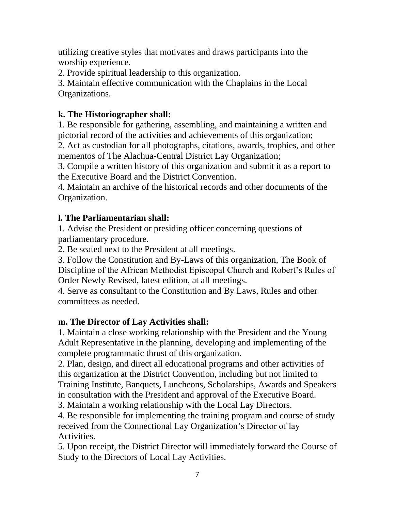utilizing creative styles that motivates and draws participants into the worship experience.

2. Provide spiritual leadership to this organization.

3. Maintain effective communication with the Chaplains in the Local Organizations.

# **k. The Historiographer shall:**

1. Be responsible for gathering, assembling, and maintaining a written and pictorial record of the activities and achievements of this organization;

2. Act as custodian for all photographs, citations, awards, trophies, and other mementos of The Alachua-Central District Lay Organization;

3. Compile a written history of this organization and submit it as a report to the Executive Board and the District Convention.

4. Maintain an archive of the historical records and other documents of the Organization.

# **l. The Parliamentarian shall:**

1. Advise the President or presiding officer concerning questions of parliamentary procedure.

2. Be seated next to the President at all meetings.

3. Follow the Constitution and By-Laws of this organization, The Book of Discipline of the African Methodist Episcopal Church and Robert's Rules of Order Newly Revised, latest edition, at all meetings.

4. Serve as consultant to the Constitution and By Laws, Rules and other committees as needed.

# **m. The Director of Lay Activities shall:**

1. Maintain a close working relationship with the President and the Young Adult Representative in the planning, developing and implementing of the complete programmatic thrust of this organization.

2. Plan, design, and direct all educational programs and other activities of this organization at the District Convention, including but not limited to Training Institute, Banquets, Luncheons, Scholarships, Awards and Speakers in consultation with the President and approval of the Executive Board.

3. Maintain a working relationship with the Local Lay Directors.

4. Be responsible for implementing the training program and course of study received from the Connectional Lay Organization's Director of lay Activities.

5. Upon receipt, the District Director will immediately forward the Course of Study to the Directors of Local Lay Activities.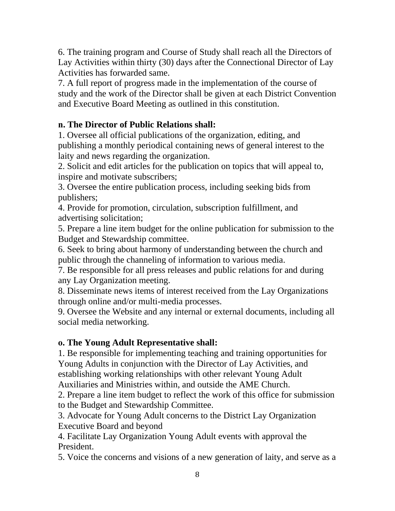6. The training program and Course of Study shall reach all the Directors of Lay Activities within thirty (30) days after the Connectional Director of Lay Activities has forwarded same.

7. A full report of progress made in the implementation of the course of study and the work of the Director shall be given at each District Convention and Executive Board Meeting as outlined in this constitution.

# **n. The Director of Public Relations shall:**

1. Oversee all official publications of the organization, editing, and publishing a monthly periodical containing news of general interest to the laity and news regarding the organization.

2. Solicit and edit articles for the publication on topics that will appeal to, inspire and motivate subscribers;

3. Oversee the entire publication process, including seeking bids from publishers;

4. Provide for promotion, circulation, subscription fulfillment, and advertising solicitation;

5. Prepare a line item budget for the online publication for submission to the Budget and Stewardship committee.

6. Seek to bring about harmony of understanding between the church and public through the channeling of information to various media.

7. Be responsible for all press releases and public relations for and during any Lay Organization meeting.

8. Disseminate news items of interest received from the Lay Organizations through online and/or multi-media processes.

9. Oversee the Website and any internal or external documents, including all social media networking.

#### **o. The Young Adult Representative shall:**

1. Be responsible for implementing teaching and training opportunities for Young Adults in conjunction with the Director of Lay Activities, and establishing working relationships with other relevant Young Adult Auxiliaries and Ministries within, and outside the AME Church.

2. Prepare a line item budget to reflect the work of this office for submission to the Budget and Stewardship Committee.

3. Advocate for Young Adult concerns to the District Lay Organization Executive Board and beyond

4. Facilitate Lay Organization Young Adult events with approval the President.

5. Voice the concerns and visions of a new generation of laity, and serve as a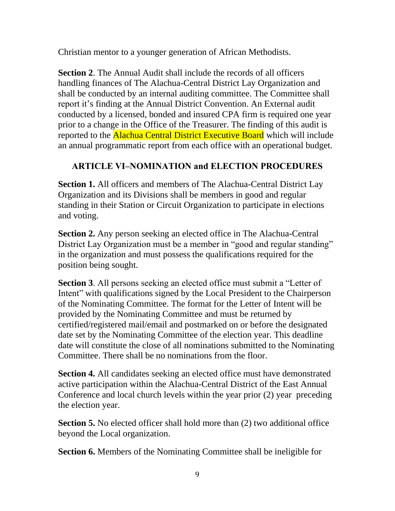Christian mentor to a younger generation of African Methodists.

**Section 2**. The Annual Audit shall include the records of all officers handling finances of The Alachua-Central District Lay Organization and shall be conducted by an internal auditing committee. The Committee shall report it's finding at the Annual District Convention. An External audit conducted by a licensed, bonded and insured CPA firm is required one year prior to a change in the Office of the Treasurer. The finding of this audit is reported to the **Alachua Central District Executive Board** which will include an annual programmatic report from each office with an operational budget.

# **ARTICLE VI–NOMINATION and ELECTION PROCEDURES**

**Section 1.** All officers and members of The Alachua-Central District Lay Organization and its Divisions shall be members in good and regular standing in their Station or Circuit Organization to participate in elections and voting.

**Section 2.** Any person seeking an elected office in The Alachua-Central District Lay Organization must be a member in "good and regular standing" in the organization and must possess the qualifications required for the position being sought.

**Section 3**. All persons seeking an elected office must submit a "Letter of Intent" with qualifications signed by the Local President to the Chairperson of the Nominating Committee. The format for the Letter of Intent will be provided by the Nominating Committee and must be returned by certified/registered mail/email and postmarked on or before the designated date set by the Nominating Committee of the election year. This deadline date will constitute the close of all nominations submitted to the Nominating Committee. There shall be no nominations from the floor.

**Section 4.** All candidates seeking an elected office must have demonstrated active participation within the Alachua-Central District of the East Annual Conference and local church levels within the year prior (2) year preceding the election year.

**Section 5.** No elected officer shall hold more than (2) two additional office beyond the Local organization.

**Section 6.** Members of the Nominating Committee shall be ineligible for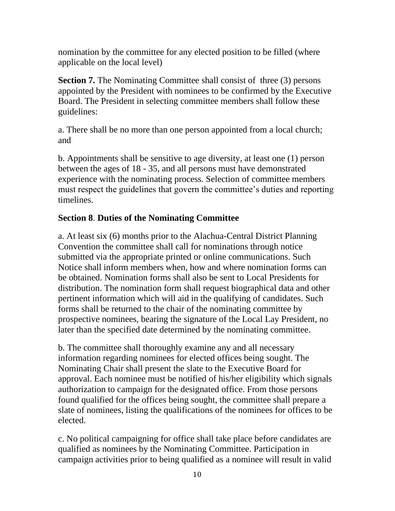nomination by the committee for any elected position to be filled (where applicable on the local level)

**Section 7.** The Nominating Committee shall consist of three (3) persons appointed by the President with nominees to be confirmed by the Executive Board. The President in selecting committee members shall follow these guidelines:

a. There shall be no more than one person appointed from a local church; and

b. Appointments shall be sensitive to age diversity, at least one (1) person between the ages of 18 - 35, and all persons must have demonstrated experience with the nominating process. Selection of committee members must respect the guidelines that govern the committee's duties and reporting timelines.

#### **Section 8**. **Duties of the Nominating Committee**

a. At least six (6) months prior to the Alachua-Central District Planning Convention the committee shall call for nominations through notice submitted via the appropriate printed or online communications. Such Notice shall inform members when, how and where nomination forms can be obtained. Nomination forms shall also be sent to Local Presidents for distribution. The nomination form shall request biographical data and other pertinent information which will aid in the qualifying of candidates. Such forms shall be returned to the chair of the nominating committee by prospective nominees, bearing the signature of the Local Lay President, no later than the specified date determined by the nominating committee.

b. The committee shall thoroughly examine any and all necessary information regarding nominees for elected offices being sought. The Nominating Chair shall present the slate to the Executive Board for approval. Each nominee must be notified of his/her eligibility which signals authorization to campaign for the designated office. From those persons found qualified for the offices being sought, the committee shall prepare a slate of nominees, listing the qualifications of the nominees for offices to be elected.

c. No political campaigning for office shall take place before candidates are qualified as nominees by the Nominating Committee. Participation in campaign activities prior to being qualified as a nominee will result in valid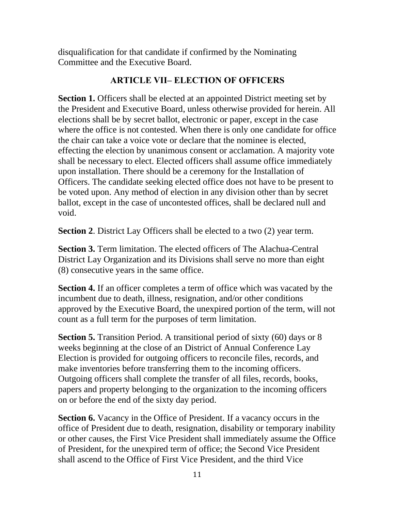disqualification for that candidate if confirmed by the Nominating Committee and the Executive Board.

#### **ARTICLE VII– ELECTION OF OFFICERS**

**Section 1.** Officers shall be elected at an appointed District meeting set by the President and Executive Board, unless otherwise provided for herein. All elections shall be by secret ballot, electronic or paper, except in the case where the office is not contested. When there is only one candidate for office the chair can take a voice vote or declare that the nominee is elected, effecting the election by unanimous consent or acclamation. A majority vote shall be necessary to elect. Elected officers shall assume office immediately upon installation. There should be a ceremony for the Installation of Officers. The candidate seeking elected office does not have to be present to be voted upon. Any method of election in any division other than by secret ballot, except in the case of uncontested offices, shall be declared null and void.

**Section 2.** District Lay Officers shall be elected to a two (2) year term.

**Section 3.** Term limitation. The elected officers of The Alachua-Central District Lay Organization and its Divisions shall serve no more than eight (8) consecutive years in the same office.

**Section 4.** If an officer completes a term of office which was vacated by the incumbent due to death, illness, resignation, and/or other conditions approved by the Executive Board, the unexpired portion of the term, will not count as a full term for the purposes of term limitation.

**Section 5.** Transition Period. A transitional period of sixty (60) days or 8 weeks beginning at the close of an District of Annual Conference Lay Election is provided for outgoing officers to reconcile files, records, and make inventories before transferring them to the incoming officers. Outgoing officers shall complete the transfer of all files, records, books, papers and property belonging to the organization to the incoming officers on or before the end of the sixty day period.

**Section 6.** Vacancy in the Office of President. If a vacancy occurs in the office of President due to death, resignation, disability or temporary inability or other causes, the First Vice President shall immediately assume the Office of President, for the unexpired term of office; the Second Vice President shall ascend to the Office of First Vice President, and the third Vice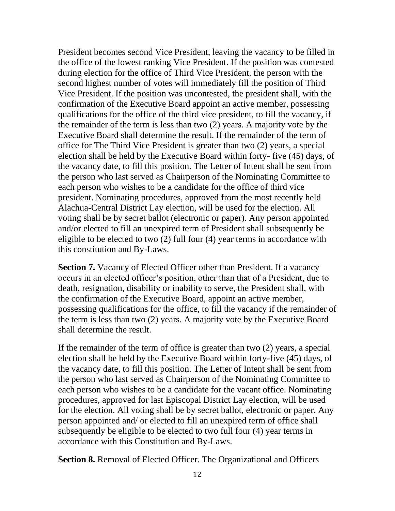President becomes second Vice President, leaving the vacancy to be filled in the office of the lowest ranking Vice President. If the position was contested during election for the office of Third Vice President, the person with the second highest number of votes will immediately fill the position of Third Vice President. If the position was uncontested, the president shall, with the confirmation of the Executive Board appoint an active member, possessing qualifications for the office of the third vice president, to fill the vacancy, if the remainder of the term is less than two (2) years. A majority vote by the Executive Board shall determine the result. If the remainder of the term of office for The Third Vice President is greater than two (2) years, a special election shall be held by the Executive Board within forty- five (45) days, of the vacancy date, to fill this position. The Letter of Intent shall be sent from the person who last served as Chairperson of the Nominating Committee to each person who wishes to be a candidate for the office of third vice president. Nominating procedures, approved from the most recently held Alachua-Central District Lay election, will be used for the election. All voting shall be by secret ballot (electronic or paper). Any person appointed and/or elected to fill an unexpired term of President shall subsequently be eligible to be elected to two (2) full four (4) year terms in accordance with this constitution and By-Laws.

**Section 7.** Vacancy of Elected Officer other than President. If a vacancy occurs in an elected officer's position, other than that of a President, due to death, resignation, disability or inability to serve, the President shall, with the confirmation of the Executive Board, appoint an active member, possessing qualifications for the office, to fill the vacancy if the remainder of the term is less than two (2) years. A majority vote by the Executive Board shall determine the result.

If the remainder of the term of office is greater than two (2) years, a special election shall be held by the Executive Board within forty-five (45) days, of the vacancy date, to fill this position. The Letter of Intent shall be sent from the person who last served as Chairperson of the Nominating Committee to each person who wishes to be a candidate for the vacant office. Nominating procedures, approved for last Episcopal District Lay election, will be used for the election. All voting shall be by secret ballot, electronic or paper. Any person appointed and/ or elected to fill an unexpired term of office shall subsequently be eligible to be elected to two full four (4) year terms in accordance with this Constitution and By-Laws.

**Section 8.** Removal of Elected Officer. The Organizational and Officers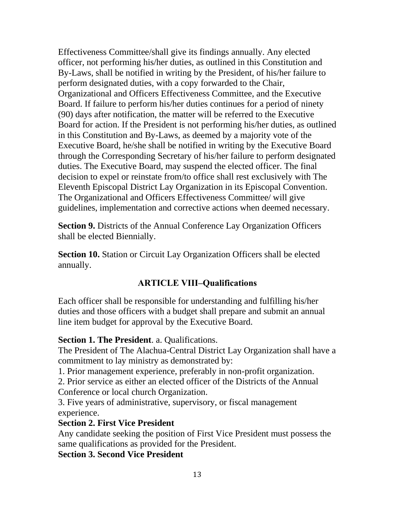Effectiveness Committee/shall give its findings annually. Any elected officer, not performing his/her duties, as outlined in this Constitution and By-Laws, shall be notified in writing by the President, of his/her failure to perform designated duties, with a copy forwarded to the Chair, Organizational and Officers Effectiveness Committee, and the Executive Board. If failure to perform his/her duties continues for a period of ninety (90) days after notification, the matter will be referred to the Executive Board for action. If the President is not performing his/her duties, as outlined in this Constitution and By-Laws, as deemed by a majority vote of the Executive Board, he/she shall be notified in writing by the Executive Board through the Corresponding Secretary of his/her failure to perform designated duties. The Executive Board, may suspend the elected officer. The final decision to expel or reinstate from/to office shall rest exclusively with The Eleventh Episcopal District Lay Organization in its Episcopal Convention. The Organizational and Officers Effectiveness Committee/ will give guidelines, implementation and corrective actions when deemed necessary.

**Section 9.** Districts of the Annual Conference Lay Organization Officers shall be elected Biennially.

**Section 10.** Station or Circuit Lay Organization Officers shall be elected annually.

# **ARTICLE VIII–Qualifications**

Each officer shall be responsible for understanding and fulfilling his/her duties and those officers with a budget shall prepare and submit an annual line item budget for approval by the Executive Board.

#### **Section 1. The President**. a. Qualifications.

The President of The Alachua-Central District Lay Organization shall have a commitment to lay ministry as demonstrated by:

1. Prior management experience, preferably in non-profit organization.

2. Prior service as either an elected officer of the Districts of the Annual Conference or local church Organization.

3. Five years of administrative, supervisory, or fiscal management experience.

#### **Section 2. First Vice President**

Any candidate seeking the position of First Vice President must possess the same qualifications as provided for the President.

**Section 3. Second Vice President**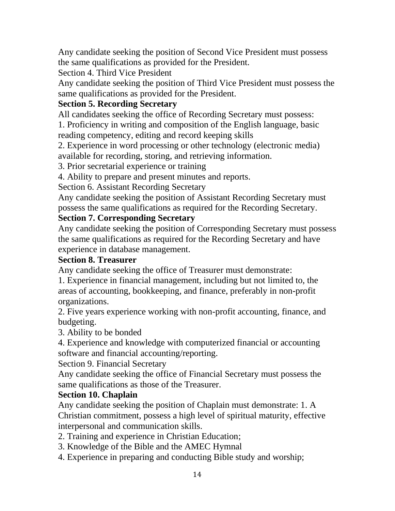Any candidate seeking the position of Second Vice President must possess the same qualifications as provided for the President.

Section 4. Third Vice President

Any candidate seeking the position of Third Vice President must possess the same qualifications as provided for the President.

# **Section 5. Recording Secretary**

All candidates seeking the office of Recording Secretary must possess:

1. Proficiency in writing and composition of the English language, basic reading competency, editing and record keeping skills

2. Experience in word processing or other technology (electronic media) available for recording, storing, and retrieving information.

3. Prior secretarial experience or training

4. Ability to prepare and present minutes and reports.

Section 6. Assistant Recording Secretary

Any candidate seeking the position of Assistant Recording Secretary must possess the same qualifications as required for the Recording Secretary.

# **Section 7. Corresponding Secretary**

Any candidate seeking the position of Corresponding Secretary must possess the same qualifications as required for the Recording Secretary and have experience in database management.

#### **Section 8. Treasurer**

Any candidate seeking the office of Treasurer must demonstrate:

1. Experience in financial management, including but not limited to, the areas of accounting, bookkeeping, and finance, preferably in non-profit organizations.

2. Five years experience working with non-profit accounting, finance, and budgeting.

3. Ability to be bonded

4. Experience and knowledge with computerized financial or accounting software and financial accounting/reporting.

Section 9. Financial Secretary

Any candidate seeking the office of Financial Secretary must possess the same qualifications as those of the Treasurer.

# **Section 10. Chaplain**

Any candidate seeking the position of Chaplain must demonstrate: 1. A Christian commitment, possess a high level of spiritual maturity, effective interpersonal and communication skills.

2. Training and experience in Christian Education;

- 3. Knowledge of the Bible and the AMEC Hymnal
- 4. Experience in preparing and conducting Bible study and worship;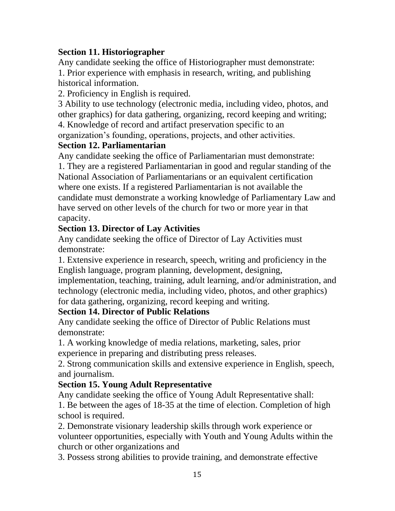#### **Section 11. Historiographer**

Any candidate seeking the office of Historiographer must demonstrate: 1. Prior experience with emphasis in research, writing, and publishing historical information.

2. Proficiency in English is required.

3 Ability to use technology (electronic media, including video, photos, and other graphics) for data gathering, organizing, record keeping and writing; 4. Knowledge of record and artifact preservation specific to an

organization's founding, operations, projects, and other activities.

#### **Section 12. Parliamentarian**

Any candidate seeking the office of Parliamentarian must demonstrate:

1. They are a registered Parliamentarian in good and regular standing of the National Association of Parliamentarians or an equivalent certification where one exists. If a registered Parliamentarian is not available the candidate must demonstrate a working knowledge of Parliamentary Law and have served on other levels of the church for two or more year in that capacity.

#### **Section 13. Director of Lay Activities**

Any candidate seeking the office of Director of Lay Activities must demonstrate:

1. Extensive experience in research, speech, writing and proficiency in the English language, program planning, development, designing,

implementation, teaching, training, adult learning, and/or administration, and technology (electronic media, including video, photos, and other graphics) for data gathering, organizing, record keeping and writing.

#### **Section 14. Director of Public Relations**

Any candidate seeking the office of Director of Public Relations must demonstrate:

1. A working knowledge of media relations, marketing, sales, prior experience in preparing and distributing press releases.

2. Strong communication skills and extensive experience in English, speech, and journalism.

#### **Section 15. Young Adult Representative**

Any candidate seeking the office of Young Adult Representative shall: 1. Be between the ages of 18-35 at the time of election. Completion of high school is required.

2. Demonstrate visionary leadership skills through work experience or volunteer opportunities, especially with Youth and Young Adults within the church or other organizations and

3. Possess strong abilities to provide training, and demonstrate effective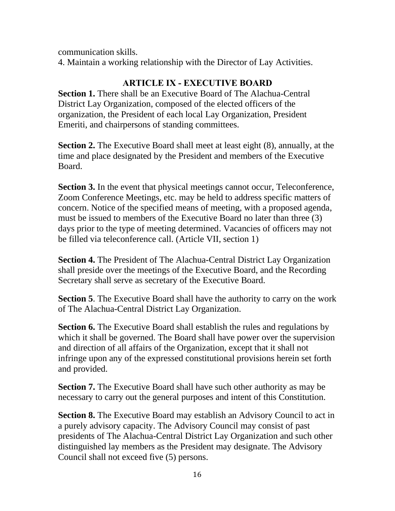communication skills.

4. Maintain a working relationship with the Director of Lay Activities.

# **ARTICLE IX - EXECUTIVE BOARD**

**Section 1.** There shall be an Executive Board of The Alachua-Central District Lay Organization, composed of the elected officers of the organization, the President of each local Lay Organization, President Emeriti, and chairpersons of standing committees.

**Section 2.** The Executive Board shall meet at least eight (8), annually, at the time and place designated by the President and members of the Executive Board.

**Section 3.** In the event that physical meetings cannot occur, Teleconference, Zoom Conference Meetings, etc. may be held to address specific matters of concern. Notice of the specified means of meeting, with a proposed agenda, must be issued to members of the Executive Board no later than three (3) days prior to the type of meeting determined. Vacancies of officers may not be filled via teleconference call. (Article VII, section 1)

**Section 4.** The President of The Alachua-Central District Lay Organization shall preside over the meetings of the Executive Board, and the Recording Secretary shall serve as secretary of the Executive Board.

**Section 5**. The Executive Board shall have the authority to carry on the work of The Alachua-Central District Lay Organization.

**Section 6.** The Executive Board shall establish the rules and regulations by which it shall be governed. The Board shall have power over the supervision and direction of all affairs of the Organization, except that it shall not infringe upon any of the expressed constitutional provisions herein set forth and provided.

**Section 7.** The Executive Board shall have such other authority as may be necessary to carry out the general purposes and intent of this Constitution.

**Section 8.** The Executive Board may establish an Advisory Council to act in a purely advisory capacity. The Advisory Council may consist of past presidents of The Alachua-Central District Lay Organization and such other distinguished lay members as the President may designate. The Advisory Council shall not exceed five (5) persons.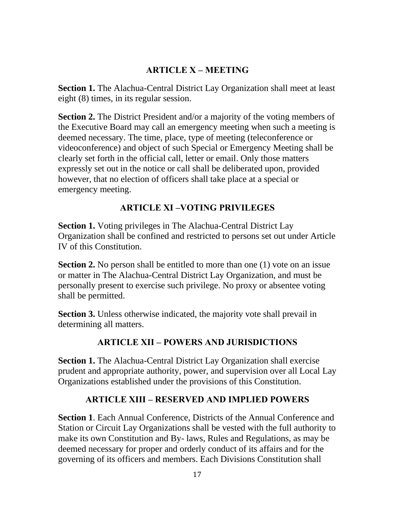# **ARTICLE X – MEETING**

**Section 1.** The Alachua-Central District Lay Organization shall meet at least eight (8) times, in its regular session.

**Section 2.** The District President and/or a majority of the voting members of the Executive Board may call an emergency meeting when such a meeting is deemed necessary. The time, place, type of meeting (teleconference or videoconference) and object of such Special or Emergency Meeting shall be clearly set forth in the official call, letter or email. Only those matters expressly set out in the notice or call shall be deliberated upon, provided however, that no election of officers shall take place at a special or emergency meeting.

# **ARTICLE XI –VOTING PRIVILEGES**

**Section 1.** Voting privileges in The Alachua-Central District Lay Organization shall be confined and restricted to persons set out under Article IV of this Constitution.

**Section 2.** No person shall be entitled to more than one (1) vote on an issue or matter in The Alachua-Central District Lay Organization, and must be personally present to exercise such privilege. No proxy or absentee voting shall be permitted.

**Section 3.** Unless otherwise indicated, the majority vote shall prevail in determining all matters.

# **ARTICLE XII – POWERS AND JURISDICTIONS**

**Section 1.** The Alachua-Central District Lay Organization shall exercise prudent and appropriate authority, power, and supervision over all Local Lay Organizations established under the provisions of this Constitution.

# **ARTICLE XIII – RESERVED AND IMPLIED POWERS**

**Section 1**. Each Annual Conference, Districts of the Annual Conference and Station or Circuit Lay Organizations shall be vested with the full authority to make its own Constitution and By- laws, Rules and Regulations, as may be deemed necessary for proper and orderly conduct of its affairs and for the governing of its officers and members. Each Divisions Constitution shall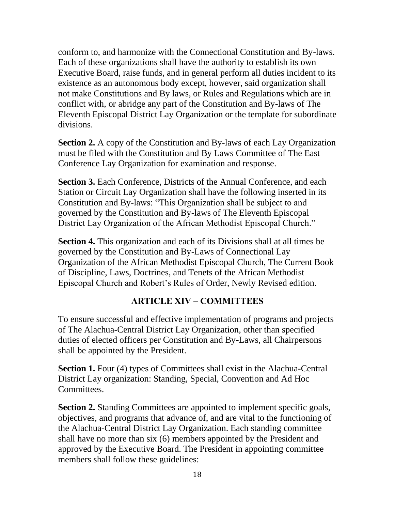conform to, and harmonize with the Connectional Constitution and By-laws. Each of these organizations shall have the authority to establish its own Executive Board, raise funds, and in general perform all duties incident to its existence as an autonomous body except, however, said organization shall not make Constitutions and By laws, or Rules and Regulations which are in conflict with, or abridge any part of the Constitution and By-laws of The Eleventh Episcopal District Lay Organization or the template for subordinate divisions.

**Section 2.** A copy of the Constitution and By-laws of each Lay Organization must be filed with the Constitution and By Laws Committee of The East Conference Lay Organization for examination and response.

**Section 3.** Each Conference, Districts of the Annual Conference, and each Station or Circuit Lay Organization shall have the following inserted in its Constitution and By-laws: "This Organization shall be subject to and governed by the Constitution and By-laws of The Eleventh Episcopal District Lay Organization of the African Methodist Episcopal Church."

**Section 4.** This organization and each of its Divisions shall at all times be governed by the Constitution and By-Laws of Connectional Lay Organization of the African Methodist Episcopal Church, The Current Book of Discipline, Laws, Doctrines, and Tenets of the African Methodist Episcopal Church and Robert's Rules of Order, Newly Revised edition.

# **ARTICLE XIV – COMMITTEES**

To ensure successful and effective implementation of programs and projects of The Alachua-Central District Lay Organization, other than specified duties of elected officers per Constitution and By-Laws, all Chairpersons shall be appointed by the President.

**Section 1.** Four (4) types of Committees shall exist in the Alachua-Central District Lay organization: Standing, Special, Convention and Ad Hoc Committees.

**Section 2.** Standing Committees are appointed to implement specific goals, objectives, and programs that advance of, and are vital to the functioning of the Alachua-Central District Lay Organization. Each standing committee shall have no more than six (6) members appointed by the President and approved by the Executive Board. The President in appointing committee members shall follow these guidelines: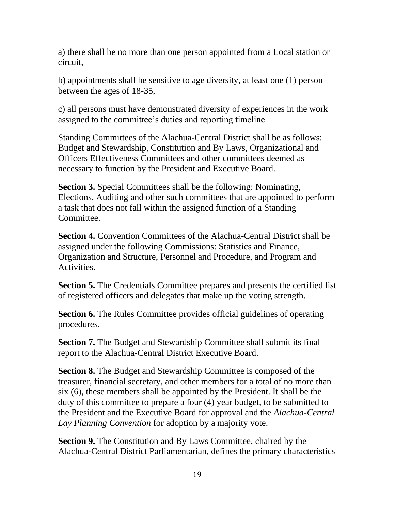a) there shall be no more than one person appointed from a Local station or circuit,

b) appointments shall be sensitive to age diversity, at least one (1) person between the ages of 18-35,

c) all persons must have demonstrated diversity of experiences in the work assigned to the committee's duties and reporting timeline.

Standing Committees of the Alachua-Central District shall be as follows: Budget and Stewardship, Constitution and By Laws, Organizational and Officers Effectiveness Committees and other committees deemed as necessary to function by the President and Executive Board.

**Section 3.** Special Committees shall be the following: Nominating, Elections, Auditing and other such committees that are appointed to perform a task that does not fall within the assigned function of a Standing Committee.

**Section 4.** Convention Committees of the Alachua-Central District shall be assigned under the following Commissions: Statistics and Finance, Organization and Structure, Personnel and Procedure, and Program and Activities.

**Section 5.** The Credentials Committee prepares and presents the certified list of registered officers and delegates that make up the voting strength.

**Section 6.** The Rules Committee provides official guidelines of operating procedures.

**Section 7.** The Budget and Stewardship Committee shall submit its final report to the Alachua-Central District Executive Board.

**Section 8.** The Budget and Stewardship Committee is composed of the treasurer, financial secretary, and other members for a total of no more than six (6), these members shall be appointed by the President. It shall be the duty of this committee to prepare a four (4) year budget, to be submitted to the President and the Executive Board for approval and the *Alachua-Central Lay Planning Convention* for adoption by a majority vote.

**Section 9.** The Constitution and By Laws Committee, chaired by the Alachua-Central District Parliamentarian, defines the primary characteristics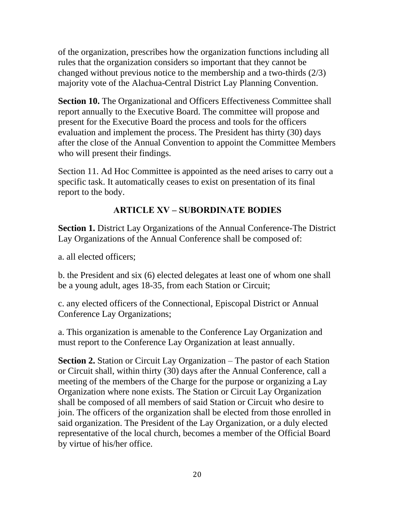of the organization, prescribes how the organization functions including all rules that the organization considers so important that they cannot be changed without previous notice to the membership and a two-thirds (2/3) majority vote of the Alachua-Central District Lay Planning Convention.

**Section 10.** The Organizational and Officers Effectiveness Committee shall report annually to the Executive Board. The committee will propose and present for the Executive Board the process and tools for the officers evaluation and implement the process. The President has thirty (30) days after the close of the Annual Convention to appoint the Committee Members who will present their findings.

Section 11. Ad Hoc Committee is appointed as the need arises to carry out a specific task. It automatically ceases to exist on presentation of its final report to the body.

# **ARTICLE XV – SUBORDINATE BODIES**

**Section 1.** District Lay Organizations of the Annual Conference-The District Lay Organizations of the Annual Conference shall be composed of:

a. all elected officers;

b. the President and six (6) elected delegates at least one of whom one shall be a young adult, ages 18-35, from each Station or Circuit;

c. any elected officers of the Connectional, Episcopal District or Annual Conference Lay Organizations;

a. This organization is amenable to the Conference Lay Organization and must report to the Conference Lay Organization at least annually.

**Section 2.** Station or Circuit Lay Organization – The pastor of each Station or Circuit shall, within thirty (30) days after the Annual Conference, call a meeting of the members of the Charge for the purpose or organizing a Lay Organization where none exists. The Station or Circuit Lay Organization shall be composed of all members of said Station or Circuit who desire to join. The officers of the organization shall be elected from those enrolled in said organization. The President of the Lay Organization, or a duly elected representative of the local church, becomes a member of the Official Board by virtue of his/her office.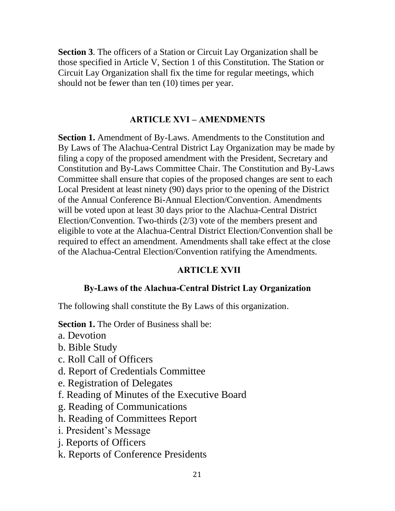**Section 3**. The officers of a Station or Circuit Lay Organization shall be those specified in Article V, Section 1 of this Constitution. The Station or Circuit Lay Organization shall fix the time for regular meetings, which should not be fewer than ten (10) times per year.

#### **ARTICLE XVI – AMENDMENTS**

**Section 1.** Amendment of By-Laws. Amendments to the Constitution and By Laws of The Alachua-Central District Lay Organization may be made by filing a copy of the proposed amendment with the President, Secretary and Constitution and By-Laws Committee Chair. The Constitution and By-Laws Committee shall ensure that copies of the proposed changes are sent to each Local President at least ninety (90) days prior to the opening of the District of the Annual Conference Bi-Annual Election/Convention. Amendments will be voted upon at least 30 days prior to the Alachua-Central District Election/Convention. Two-thirds (2/3) vote of the members present and eligible to vote at the Alachua-Central District Election/Convention shall be required to effect an amendment. Amendments shall take effect at the close of the Alachua-Central Election/Convention ratifying the Amendments.

#### **ARTICLE XVII**

# **By-Laws of the Alachua-Central District Lay Organization**

The following shall constitute the By Laws of this organization.

**Section 1.** The Order of Business shall be:

- a. Devotion
- b. Bible Study
- c. Roll Call of Officers
- d. Report of Credentials Committee
- e. Registration of Delegates
- f. Reading of Minutes of the Executive Board
- g. Reading of Communications
- h. Reading of Committees Report
- i. President's Message
- j. Reports of Officers
- k. Reports of Conference Presidents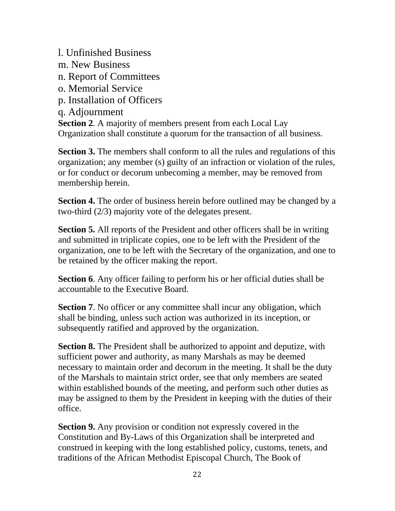l. Unfinished Business m. New Business n. Report of Committees o. Memorial Service p. Installation of Officers q. Adjournment **Section 2**. A majority of members present from each Local Lay Organization shall constitute a quorum for the transaction of all business.

**Section 3.** The members shall conform to all the rules and regulations of this organization; any member (s) guilty of an infraction or violation of the rules, or for conduct or decorum unbecoming a member, may be removed from membership herein.

**Section 4.** The order of business herein before outlined may be changed by a two-third (2/3) majority vote of the delegates present.

**Section 5.** All reports of the President and other officers shall be in writing and submitted in triplicate copies, one to be left with the President of the organization, one to be left with the Secretary of the organization, and one to be retained by the officer making the report.

**Section 6.** Any officer failing to perform his or her official duties shall be accountable to the Executive Board.

**Section 7.** No officer or any committee shall incur any obligation, which shall be binding, unless such action was authorized in its inception, or subsequently ratified and approved by the organization.

**Section 8.** The President shall be authorized to appoint and deputize, with sufficient power and authority, as many Marshals as may be deemed necessary to maintain order and decorum in the meeting. It shall be the duty of the Marshals to maintain strict order, see that only members are seated within established bounds of the meeting, and perform such other duties as may be assigned to them by the President in keeping with the duties of their office.

**Section 9.** Any provision or condition not expressly covered in the Constitution and By-Laws of this Organization shall be interpreted and construed in keeping with the long established policy, customs, tenets, and traditions of the African Methodist Episcopal Church, The Book of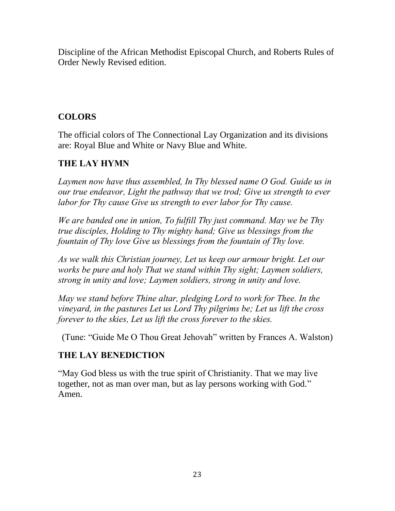Discipline of the African Methodist Episcopal Church, and Roberts Rules of Order Newly Revised edition.

# **COLORS**

The official colors of The Connectional Lay Organization and its divisions are: Royal Blue and White or Navy Blue and White.

# **THE LAY HYMN**

*Laymen now have thus assembled, In Thy blessed name O God. Guide us in our true endeavor, Light the pathway that we trod; Give us strength to ever labor for Thy cause Give us strength to ever labor for Thy cause.* 

*We are banded one in union, To fulfill Thy just command. May we be Thy true disciples, Holding to Thy mighty hand; Give us blessings from the fountain of Thy love Give us blessings from the fountain of Thy love.* 

*As we walk this Christian journey, Let us keep our armour bright. Let our works be pure and holy That we stand within Thy sight; Laymen soldiers, strong in unity and love; Laymen soldiers, strong in unity and love.* 

*May we stand before Thine altar, pledging Lord to work for Thee. In the vineyard, in the pastures Let us Lord Thy pilgrims be; Let us lift the cross forever to the skies, Let us lift the cross forever to the skies.* 

(Tune: "Guide Me O Thou Great Jehovah" written by Frances A. Walston)

# **THE LAY BENEDICTION**

"May God bless us with the true spirit of Christianity. That we may live together, not as man over man, but as lay persons working with God." Amen.